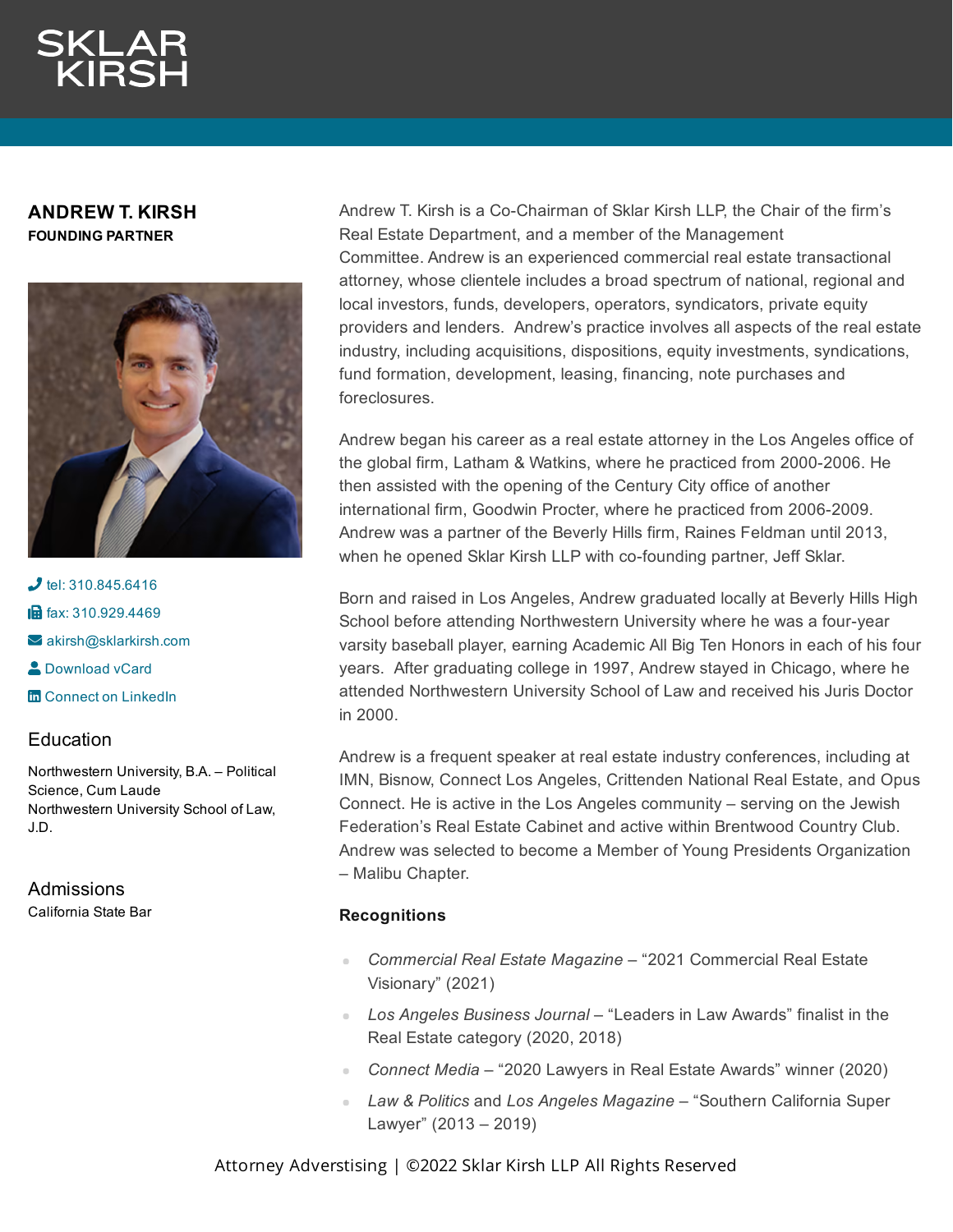### **ANDREW T. KIRSH FOUNDING PARTNER**



 $J$  tel: [310.845.6416](tel:310.845.6416) **in** fax: [310.929.4469](fax:310.929.4469)  $\blacktriangleright$  [akirsh@sklarkirsh.com](mailto:akirsh@sklarkirsh.com) **2** [Download](https://www.sklarkirsh.com/api/vcard?firstName=Andrew&middleName=T.&lastName=Kirsh&email=akirsh@sklarkirsh.com&position=FOUNDING%20PARTNER&company=Sklar%20Kirsh%20LLP&phone=310.845.6416&fax=310.929.4469&address1=1880%20Century%20Park%20East,%20Ste%20300&city=Los%20Angeles&state=CA&zip=90067&country=US&image=https%253A%252F%252Fres.cloudinary.com%252Fsklar-kirsh-main%252Fimages%252F%252Ff_auto%252Cq_auto%252Fv1644341192%252FAKirsch2-2_421992bed%252FAKirsch2-2_421992bed.jpg%253F_i%253DAA&) vCard **m** Connect on [LinkedIn](https://www.linkedin.com/in/andrewkirsh)

## **Education**

Northwestern University, B.A. – Political Science, Cum Laude Northwestern University School of Law, J.D.

# Admissions

California State Bar

Andrew T. Kirsh is a Co-Chairman of Sklar Kirsh LLP, the Chair of the firm's Real Estate Department, and a member of the Management Committee. Andrew is an experienced commercial real estate transactional attorney, whose clientele includes a broad spectrum of national, regional and local investors, funds, developers, operators, syndicators, private equity providers and lenders. Andrew's practice involves all aspects of the real estate industry, including acquisitions, dispositions, equity investments, syndications, fund formation, development, leasing, financing, note purchases and foreclosures.

Andrew began his career as a real estate attorney in the Los Angeles office of the global firm, Latham & Watkins, where he practiced from 2000-2006. He then assisted with the opening of the Century City office of another international firm, Goodwin Procter, where he practiced from 2006-2009. Andrew was a partner of the Beverly Hills firm, Raines Feldman until 2013, when he opened Sklar Kirsh LLP with co-founding partner, Jeff Sklar.

Born and raised in Los Angeles, Andrew graduated locally at Beverly Hills High School before attending Northwestern University where he was a four-year varsity baseball player, earning Academic All Big Ten Honors in each of his four years. After graduating college in 1997, Andrew stayed in Chicago, where he attended Northwestern University School of Law and received his Juris Doctor in 2000.

Andrew is a frequent speaker at real estate industry conferences, including at IMN, Bisnow, Connect Los Angeles, Crittenden National Real Estate, and Opus Connect. He is active in the Los Angeles community – serving on the Jewish Federation's Real Estate Cabinet and active within Brentwood Country Club. Andrew was selected to become a Member of Young Presidents Organization – Malibu Chapter.

# **Recognitions**

- *Commercial Real Estate Magazine* "2021 Commercial Real Estate Visionary" (2021)
- *Los Angeles Business Journal* "Leaders in Law Awards" finalist in the Real Estate category (2020, 2018)
- *Connect Media* "2020 Lawyers in Real Estate Awards" winner (2020)
- *Law & Politics* and *Los Angeles Magazine* "Southern California Super Lawyer" (2013 – 2019)

Attorney Adverstising | ©2022 Sklar Kirsh LLP All Rights Reserved